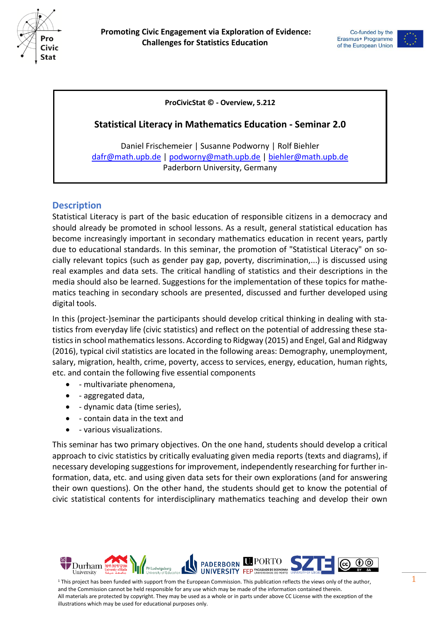



#### **ProCivicStat © - Overview, 5.212**

#### **Statistical Literacy in Mathematics Education - Seminar 2.0**

Daniel Frischemeier | Susanne Podworny | Rolf Biehler [dafr@math.upb.de](mailto:dafr@math.upb.de) | [podworny@math.upb.de](mailto:podworny@math.upb.de) | [biehler@math.upb.de](mailto:biehler@math.upb.de) Paderborn University, Germany

## **Description**

Statistical Literacy is part of the basic education of responsible citizens in a democracy and should already be promoted in school lessons. As a result, general statistical education has become increasingly important in secondary mathematics education in recent years, partly due to educational standards. In this seminar, the promotion of "Statistical Literacy" on socially relevant topics (such as gender pay gap, poverty, discrimination,...) is discussed using real examples and data sets. The critical handling of statistics and their descriptions in the media should also be learned. Suggestions for the implementation of these topics for mathematics teaching in secondary schools are presented, discussed and further developed using digital tools.

In this (project-)seminar the participants should develop critical thinking in dealing with statistics from everyday life (civic statistics) and reflect on the potential of addressing these statistics in school mathematics lessons. According to Ridgway (2015) and Engel, Gal and Ridgway (2016), typical civil statistics are located in the following areas: Demography, unemployment, salary, migration, health, crime, poverty, access to services, energy, education, human rights, etc. and contain the following five essential components

- - multivariate phenomena,
- aggregated data,
- dynamic data (time series),
- contain data in the text and
- various visualizations.

This seminar has two primary objectives. On the one hand, students should develop a critical approach to civic statistics by critically evaluating given media reports (texts and diagrams), if necessary developing suggestions for improvement, independently researching for further information, data, etc. and using given data sets for their own explorations (and for answering their own questions). On the other hand, the students should get to know the potential of civic statistical contents for interdisciplinary mathematics teaching and develop their own

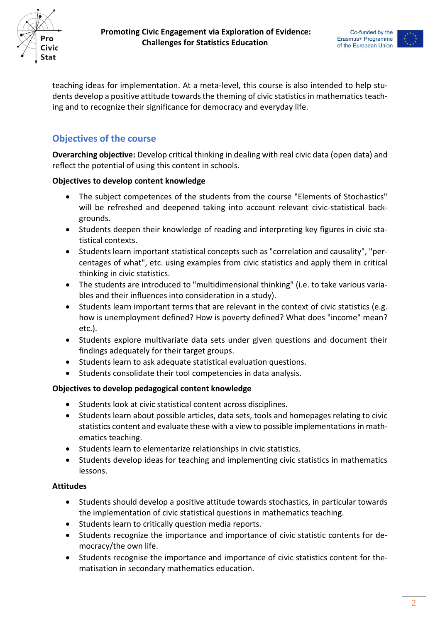





teaching ideas for implementation. At a meta-level, this course is also intended to help students develop a positive attitude towards the theming of civic statistics in mathematics teaching and to recognize their significance for democracy and everyday life.

# **Objectives of the course**

**Overarching objective:** Develop critical thinking in dealing with real civic data (open data) and reflect the potential of using this content in schools.

## **Objectives to develop content knowledge**

- The subject competences of the students from the course "Elements of Stochastics" will be refreshed and deepened taking into account relevant civic-statistical backgrounds.
- Students deepen their knowledge of reading and interpreting key figures in civic statistical contexts.
- Students learn important statistical concepts such as "correlation and causality", "percentages of what", etc. using examples from civic statistics and apply them in critical thinking in civic statistics.
- The students are introduced to "multidimensional thinking" (i.e. to take various variables and their influences into consideration in a study).
- Students learn important terms that are relevant in the context of civic statistics (e.g. how is unemployment defined? How is poverty defined? What does "income" mean? etc.).
- Students explore multivariate data sets under given questions and document their findings adequately for their target groups.
- Students learn to ask adequate statistical evaluation questions.
- Students consolidate their tool competencies in data analysis.

#### **Objectives to develop pedagogical content knowledge**

- Students look at civic statistical content across disciplines.
- Students learn about possible articles, data sets, tools and homepages relating to civic statistics content and evaluate these with a view to possible implementations in mathematics teaching.
- Students learn to elementarize relationships in civic statistics.
- Students develop ideas for teaching and implementing civic statistics in mathematics lessons.

## **Attitudes**

- Students should develop a positive attitude towards stochastics, in particular towards the implementation of civic statistical questions in mathematics teaching.
- Students learn to critically question media reports.
- Students recognize the importance and importance of civic statistic contents for democracy/the own life.
- Students recognise the importance and importance of civic statistics content for thematisation in secondary mathematics education.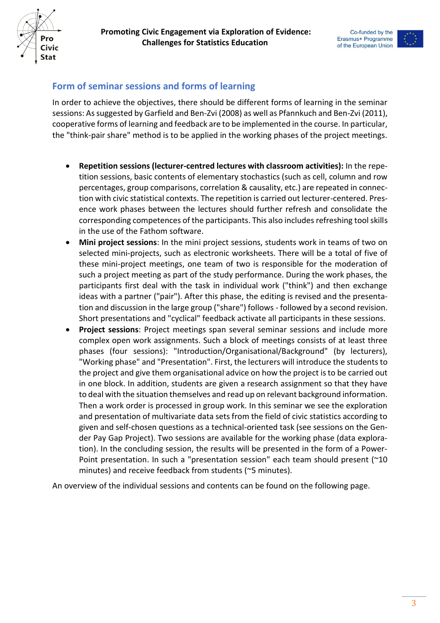



## **Form of seminar sessions and forms of learning**

In order to achieve the objectives, there should be different forms of learning in the seminar sessions: As suggested by Garfield and Ben-Zvi (2008) as well as Pfannkuch and Ben-Zvi (2011), cooperative forms of learning and feedback are to be implemented in the course. In particular, the "think-pair share" method is to be applied in the working phases of the project meetings.

- **Repetition sessions (lecturer-centred lectures with classroom activities):** In the repetition sessions, basic contents of elementary stochastics (such as cell, column and row percentages, group comparisons, correlation & causality, etc.) are repeated in connection with civic statistical contexts. The repetition is carried out lecturer-centered. Presence work phases between the lectures should further refresh and consolidate the corresponding competences of the participants. This also includes refreshing tool skills in the use of the Fathom software.
- **Mini project sessions**: In the mini project sessions, students work in teams of two on selected mini-projects, such as electronic worksheets. There will be a total of five of these mini-project meetings, one team of two is responsible for the moderation of such a project meeting as part of the study performance. During the work phases, the participants first deal with the task in individual work ("think") and then exchange ideas with a partner ("pair"). After this phase, the editing is revised and the presentation and discussion in the large group ("share") follows - followed by a second revision. Short presentations and "cyclical" feedback activate all participants in these sessions.
- **Project sessions**: Project meetings span several seminar sessions and include more complex open work assignments. Such a block of meetings consists of at least three phases (four sessions): "Introduction/Organisational/Background" (by lecturers), "Working phase" and "Presentation". First, the lecturers will introduce the students to the project and give them organisational advice on how the project is to be carried out in one block. In addition, students are given a research assignment so that they have to deal with the situation themselves and read up on relevant background information. Then a work order is processed in group work. In this seminar we see the exploration and presentation of multivariate data sets from the field of civic statistics according to given and self-chosen questions as a technical-oriented task (see sessions on the Gender Pay Gap Project). Two sessions are available for the working phase (data exploration). In the concluding session, the results will be presented in the form of a Power-Point presentation. In such a "presentation session" each team should present (~10 minutes) and receive feedback from students (~5 minutes).

An overview of the individual sessions and contents can be found on the following page.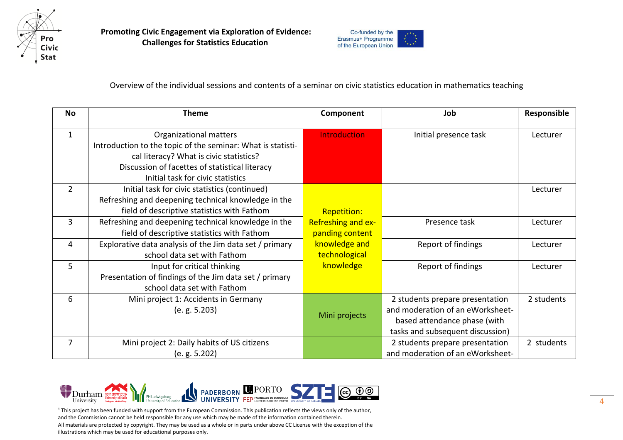

 **Promoting Civic Engagement via Exploration of Evidence: Challenges for Statistics Education**



Overview of the individual sessions and contents of a seminar on civic statistics education in mathematics teaching

| <b>No</b>      | <b>Theme</b>                                                | Component           | Job                              | Responsible |
|----------------|-------------------------------------------------------------|---------------------|----------------------------------|-------------|
| $\mathbf 1$    | Organizational matters                                      | <b>Introduction</b> | Initial presence task            | Lecturer    |
|                | Introduction to the topic of the seminar: What is statisti- |                     |                                  |             |
|                |                                                             |                     |                                  |             |
|                | cal literacy? What is civic statistics?                     |                     |                                  |             |
|                | Discussion of facettes of statistical literacy              |                     |                                  |             |
|                | Initial task for civic statistics                           |                     |                                  |             |
| $\overline{2}$ | Initial task for civic statistics (continued)               |                     |                                  | Lecturer    |
|                | Refreshing and deepening technical knowledge in the         |                     |                                  |             |
|                | field of descriptive statistics with Fathom                 | <b>Repetition:</b>  |                                  |             |
| 3              | Refreshing and deepening technical knowledge in the         | Refreshing and ex-  | Presence task                    | Lecturer    |
|                | field of descriptive statistics with Fathom                 | panding content     |                                  |             |
| 4              | Explorative data analysis of the Jim data set / primary     | knowledge and       | Report of findings               | Lecturer    |
|                | school data set with Fathom                                 | technological       |                                  |             |
| 5              | Input for critical thinking                                 | knowledge           | Report of findings               | Lecturer    |
|                | Presentation of findings of the Jim data set / primary      |                     |                                  |             |
|                | school data set with Fathom                                 |                     |                                  |             |
| 6              | Mini project 1: Accidents in Germany                        |                     | 2 students prepare presentation  | 2 students  |
|                | (e. g. 5.203)                                               |                     | and moderation of an eWorksheet- |             |
|                |                                                             | Mini projects       | based attendance phase (with     |             |
|                |                                                             |                     | tasks and subsequent discussion) |             |
| 7              | Mini project 2: Daily habits of US citizens                 |                     | 2 students prepare presentation  | 2 students  |
|                | (e. g. 5.202)                                               |                     | and moderation of an eWorksheet- |             |



<sup>1</sup> This project has been funded with support from the European Commission. This publication reflects the views only of the author, and the Commission cannot be held responsible for any use which may be made of the information contained therein. All materials are protected by copyright. They may be used as a whole or in parts under above CC License with the exception of the illustrations which may be used for educational purposes only.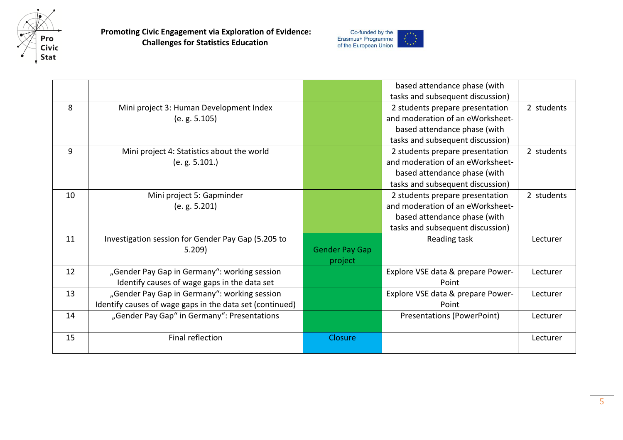

 **Promoting Civic Engagement via Exploration of Evidence: Challenges for Statistics Education**



|    |                                                          |                       | based attendance phase (with      |            |
|----|----------------------------------------------------------|-----------------------|-----------------------------------|------------|
|    |                                                          |                       | tasks and subsequent discussion)  |            |
| 8  | Mini project 3: Human Development Index                  |                       | 2 students prepare presentation   | 2 students |
|    | (e. g. 5.105)                                            |                       | and moderation of an eWorksheet-  |            |
|    |                                                          |                       | based attendance phase (with      |            |
|    |                                                          |                       | tasks and subsequent discussion)  |            |
| 9  | Mini project 4: Statistics about the world               |                       | 2 students prepare presentation   | 2 students |
|    | (e. g. 5.101.)                                           |                       | and moderation of an eWorksheet-  |            |
|    |                                                          |                       | based attendance phase (with      |            |
|    |                                                          |                       | tasks and subsequent discussion)  |            |
| 10 | Mini project 5: Gapminder                                |                       | 2 students prepare presentation   | 2 students |
|    | (e. g. 5.201)                                            |                       | and moderation of an eWorksheet-  |            |
|    |                                                          |                       | based attendance phase (with      |            |
|    |                                                          |                       | tasks and subsequent discussion)  |            |
| 11 | Investigation session for Gender Pay Gap (5.205 to       |                       | Reading task                      | Lecturer   |
|    | 5.209)                                                   | <b>Gender Pay Gap</b> |                                   |            |
|    |                                                          | project               |                                   |            |
| 12 | "Gender Pay Gap in Germany": working session             |                       | Explore VSE data & prepare Power- | Lecturer   |
|    | Identify causes of wage gaps in the data set             |                       | Point                             |            |
| 13 | "Gender Pay Gap in Germany": working session             |                       | Explore VSE data & prepare Power- | Lecturer   |
|    | Identify causes of wage gaps in the data set (continued) |                       | Point                             |            |
| 14 | "Gender Pay Gap" in Germany": Presentations              |                       | Presentations (PowerPoint)        | Lecturer   |
|    |                                                          |                       |                                   |            |
| 15 | Final reflection                                         | Closure               |                                   | Lecturer   |
|    |                                                          |                       |                                   |            |